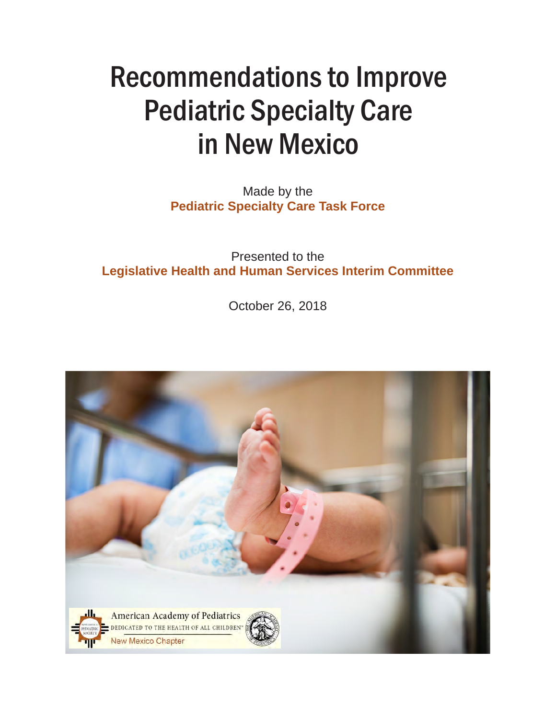# Recommendations to Improve Pediatric Specialty Care in New Mexico

Made by the **Pediatric Specialty Care Task Force**

Presented to the **Legislative Health and Human Services Interim Committee**

October 26, 2018

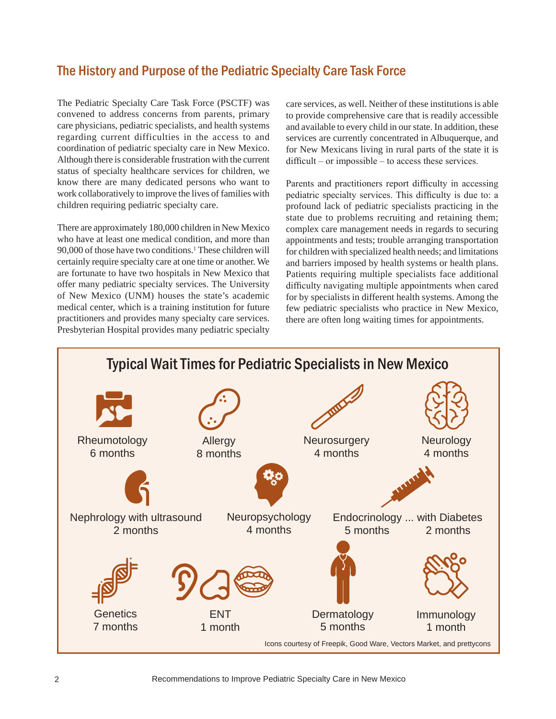#### The History and Purpose of the Pediatric Specialty Care Task Force

The Pediatric Specialty Care Task Force (PSCTF) was convened to address concerns from parents, primary care physicians, pediatric specialists, and health systems regarding current difficulties in the access to and coordination of pediatric specialty care in New Mexico. Although there is considerable frustration with the current status of specialty healthcare services for children, we know there are many dedicated persons who want to work collaboratively to improve the lives of families with children requiring pediatric specialty care.

There are approximately 180,000 children in New Mexico who have at least one medical condition, and more than 90,000 of those have two conditions.1 These children will certainly require specialty care at one time or another. We are fortunate to have two hospitals in New Mexico that offer many pediatric specialty services. The University of New Mexico (UNM) houses the state's academic medical center, which is a training institution for future practitioners and provides many specialty care services. Presbyterian Hospital provides many pediatric specialty

care services, as well. Neither of these institutions is able to provide comprehensive care that is readily accessible and available to every child in our state. In addition, these services are currently concentrated in Albuquerque, and for New Mexicans living in rural parts of the state it is difficult – or impossible – to access these services.

Parents and practitioners report difficulty in accessing pediatric specialty services. This difficulty is due to: a profound lack of pediatric specialists practicing in the state due to problems recruiting and retaining them; complex care management needs in regards to securing appointments and tests; trouble arranging transportation for children with specialized health needs; and limitations and barriers imposed by health systems or health plans. Patients requiring multiple specialists face additional difficulty navigating multiple appointments when cared for by specialists in different health systems. Among the few pediatric specialists who practice in New Mexico, there are often long waiting times for appointments.

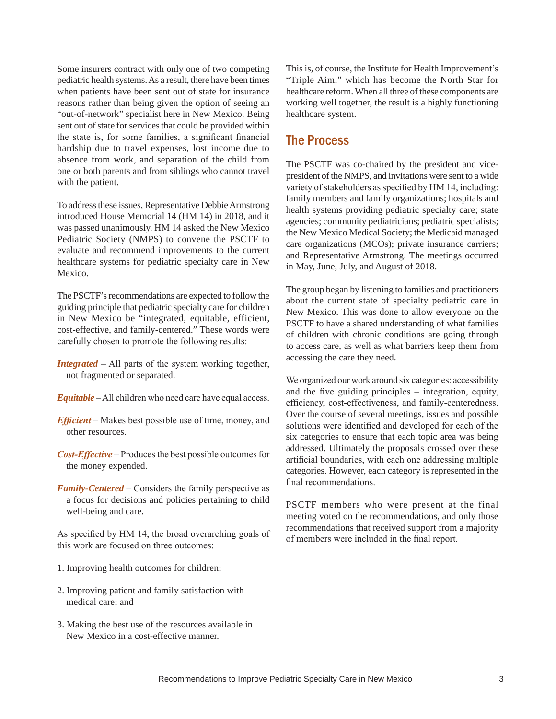Some insurers contract with only one of two competing pediatric health systems. As a result, there have been times when patients have been sent out of state for insurance reasons rather than being given the option of seeing an "out-of-network" specialist here in New Mexico. Being sent out of state for services that could be provided within the state is, for some families, a significant financial hardship due to travel expenses, lost income due to absence from work, and separation of the child from one or both parents and from siblings who cannot travel with the patient.

To address these issues, Representative Debbie Armstrong introduced House Memorial 14 (HM 14) in 2018, and it was passed unanimously. HM 14 asked the New Mexico Pediatric Society (NMPS) to convene the PSCTF to evaluate and recommend improvements to the current healthcare systems for pediatric specialty care in New Mexico.

The PSCTF's recommendations are expected to follow the guiding principle that pediatric specialty care for children in New Mexico be "integrated, equitable, efficient, cost-effective, and family-centered." These words were carefully chosen to promote the following results:

- *Integrated* All parts of the system working together, not fragmented or separated.
- *Equitable* All children who need care have equal access.
- *Efficient* Makes best possible use of time, money, and other resources.
- *Cost-Effective* Produces the best possible outcomes for the money expended.
- *Family-Centered* Considers the family perspective as a focus for decisions and policies pertaining to child well-being and care.

As specified by HM 14, the broad overarching goals of this work are focused on three outcomes:

- 1. Improving health outcomes for children;
- 2. Improving patient and family satisfaction with medical care; and
- 3. Making the best use of the resources available in New Mexico in a cost-effective manner.

This is, of course, the Institute for Health Improvement's "Triple Aim," which has become the North Star for healthcare reform. When all three of these components are working well together, the result is a highly functioning healthcare system.

#### The Process

The PSCTF was co-chaired by the president and vicepresident of the NMPS, and invitations were sent to a wide variety of stakeholders as specified by HM 14, including: family members and family organizations; hospitals and health systems providing pediatric specialty care; state agencies; community pediatricians; pediatric specialists; the New Mexico Medical Society; the Medicaid managed care organizations (MCOs); private insurance carriers; and Representative Armstrong. The meetings occurred in May, June, July, and August of 2018.

The group began by listening to families and practitioners about the current state of specialty pediatric care in New Mexico. This was done to allow everyone on the PSCTF to have a shared understanding of what families of children with chronic conditions are going through to access care, as well as what barriers keep them from accessing the care they need.

We organized our work around six categories: accessibility and the five guiding principles – integration, equity, efficiency, cost-effectiveness, and family-centeredness. Over the course of several meetings, issues and possible solutions were identified and developed for each of the six categories to ensure that each topic area was being addressed. Ultimately the proposals crossed over these artificial boundaries, with each one addressing multiple categories. However, each category is represented in the final recommendations.

PSCTF members who were present at the final meeting voted on the recommendations, and only those recommendations that received support from a majority of members were included in the final report.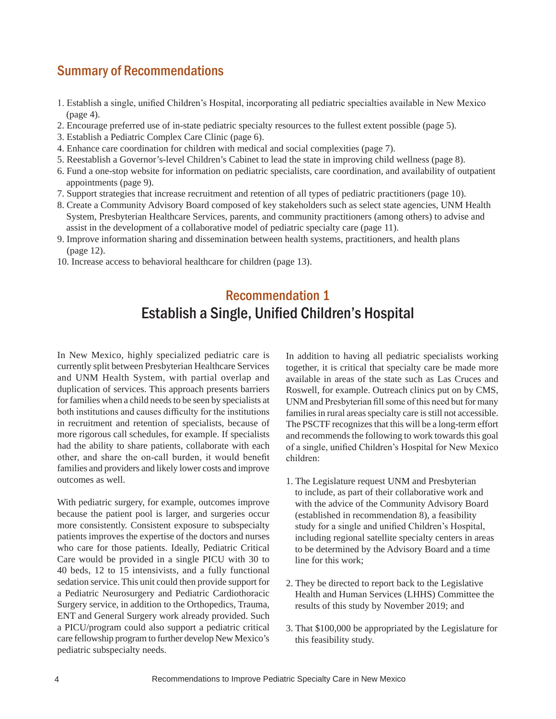#### Summary of Recommendations

- 1. Establish a single, unified Children's Hospital, incorporating all pediatric specialties available in New Mexico (page 4).
- 2. Encourage preferred use of in-state pediatric specialty resources to the fullest extent possible (page 5).
- 3. Establish a Pediatric Complex Care Clinic (page 6).
- 4. Enhance care coordination for children with medical and social complexities (page 7).
- 5. Reestablish a Governor's-level Children's Cabinet to lead the state in improving child wellness (page 8).
- 6. Fund a one-stop website for information on pediatric specialists, care coordination, and availability of outpatient appointments (page 9).
- 7. Support strategies that increase recruitment and retention of all types of pediatric practitioners (page 10).
- 8. Create a Community Advisory Board composed of key stakeholders such as select state agencies, UNM Health System, Presbyterian Healthcare Services, parents, and community practitioners (among others) to advise and assist in the development of a collaborative model of pediatric specialty care (page 11).
- 9. Improve information sharing and dissemination between health systems, practitioners, and health plans (page 12).
- 10. Increase access to behavioral healthcare for children (page 13).

# Recommendation 1 Establish a Single, Unified Children's Hospital

In New Mexico, highly specialized pediatric care is currently split between Presbyterian Healthcare Services and UNM Health System, with partial overlap and duplication of services. This approach presents barriers for families when a child needs to be seen by specialists at both institutions and causes difficulty for the institutions in recruitment and retention of specialists, because of more rigorous call schedules, for example. If specialists had the ability to share patients, collaborate with each other, and share the on-call burden, it would benefit families and providers and likely lower costs and improve outcomes as well.

With pediatric surgery, for example, outcomes improve because the patient pool is larger, and surgeries occur more consistently. Consistent exposure to subspecialty patients improves the expertise of the doctors and nurses who care for those patients. Ideally, Pediatric Critical Care would be provided in a single PICU with 30 to 40 beds, 12 to 15 intensivists, and a fully functional sedation service. This unit could then provide support for a Pediatric Neurosurgery and Pediatric Cardiothoracic Surgery service, in addition to the Orthopedics, Trauma, ENT and General Surgery work already provided. Such a PICU/program could also support a pediatric critical care fellowship program to further develop New Mexico's pediatric subspecialty needs.

In addition to having all pediatric specialists working together, it is critical that specialty care be made more available in areas of the state such as Las Cruces and Roswell, for example. Outreach clinics put on by CMS, UNM and Presbyterian fill some of this need but for many families in rural areas specialty care is still not accessible. The PSCTF recognizes that this will be a long-term effort and recommends the following to work towards this goal of a single, unified Children's Hospital for New Mexico children:

- 1. The Legislature request UNM and Presbyterian to include, as part of their collaborative work and with the advice of the Community Advisory Board (established in recommendation 8), a feasibility study for a single and unified Children's Hospital, including regional satellite specialty centers in areas to be determined by the Advisory Board and a time line for this work;
- 2. They be directed to report back to the Legislative Health and Human Services (LHHS) Committee the results of this study by November 2019; and
- 3. That \$100,000 be appropriated by the Legislature for this feasibility study.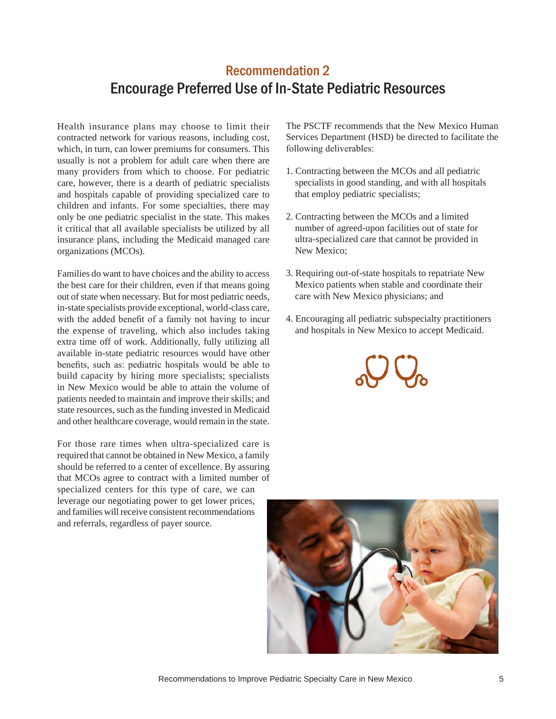### Recommendation 2 Encourage Preferred Use of In-State Pediatric Resources

Health insurance plans may choose to limit their contracted network for various reasons, including cost, which, in turn, can lower premiums for consumers. This usually is not a problem for adult care when there are many providers from which to choose. For pediatric care, however, there is a dearth of pediatric specialists and hospitals capable of providing specialized care to children and infants. For some specialties, there may only be one pediatric specialist in the state. This makes it critical that all available specialists be utilized by all insurance plans, including the Medicaid managed care organizations (MCOs).

Families do want to have choices and the ability to access the best care for their children, even if that means going out of state when necessary. But for most pediatric needs, in-state specialists provide exceptional, world-class care, with the added benefit of a family not having to incur the expense of traveling, which also includes taking extra time off of work. Additionally, fully utilizing all available in-state pediatric resources would have other benefits, such as: pediatric hospitals would be able to build capacity by hiring more specialists; specialists in New Mexico would be able to attain the volume of patients needed to maintain and improve their skills; and state resources, such as the funding invested in Medicaid and other healthcare coverage, would remain in the state.

For those rare times when ultra-specialized care is required that cannot be obtained in New Mexico, a family should be referred to a center of excellence. By assuring that MCOs agree to contract with a limited number of specialized centers for this type of care, we can leverage our negotiating power to get lower prices, and families will receive consistent recommendations and referrals, regardless of payer source.

The PSCTF recommends that the New Mexico Human Services Department (HSD) be directed to facilitate the following deliverables:

- 1. Contracting between the MCOs and all pediatric specialists in good standing, and with all hospitals that employ pediatric specialists;
- 2. Contracting between the MCOs and a limited number of agreed-upon facilities out of state for ultra-specialized care that cannot be provided in New Mexico;
- 3. Requiring out-of-state hospitals to repatriate New Mexico patients when stable and coordinate their care with New Mexico physicians; and
- 4. Encouraging all pediatric subspecialty practitioners and hospitals in New Mexico to accept Medicaid.



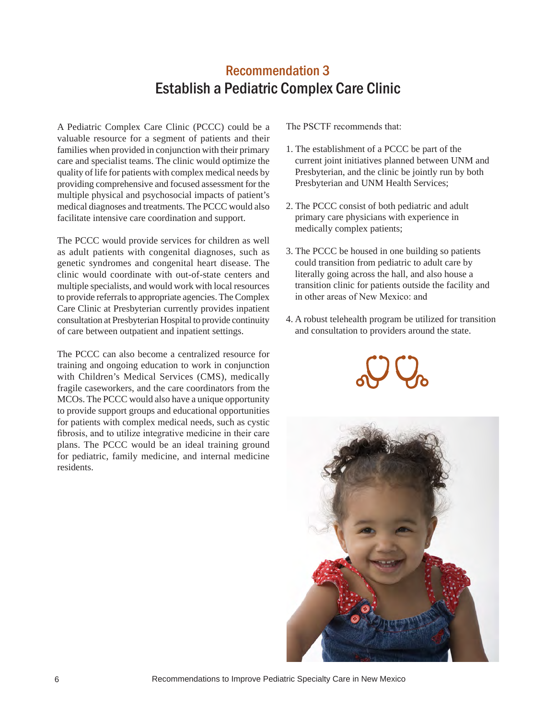## Recommendation 3 Establish a Pediatric Complex Care Clinic

A Pediatric Complex Care Clinic (PCCC) could be a valuable resource for a segment of patients and their families when provided in conjunction with their primary care and specialist teams. The clinic would optimize the quality of life for patients with complex medical needs by providing comprehensive and focused assessment for the multiple physical and psychosocial impacts of patient's medical diagnoses and treatments. The PCCC would also facilitate intensive care coordination and support.

The PCCC would provide services for children as well as adult patients with congenital diagnoses, such as genetic syndromes and congenital heart disease. The clinic would coordinate with out-of-state centers and multiple specialists, and would work with local resources to provide referrals to appropriate agencies. The Complex Care Clinic at Presbyterian currently provides inpatient consultation at Presbyterian Hospital to provide continuity of care between outpatient and inpatient settings.

The PCCC can also become a centralized resource for training and ongoing education to work in conjunction with Children's Medical Services (CMS), medically fragile caseworkers, and the care coordinators from the MCOs. The PCCC would also have a unique opportunity to provide support groups and educational opportunities for patients with complex medical needs, such as cystic fibrosis, and to utilize integrative medicine in their care plans. The PCCC would be an ideal training ground for pediatric, family medicine, and internal medicine residents.

- 1. The establishment of a PCCC be part of the current joint initiatives planned between UNM and Presbyterian, and the clinic be jointly run by both Presbyterian and UNM Health Services;
- 2. The PCCC consist of both pediatric and adult primary care physicians with experience in medically complex patients;
- 3. The PCCC be housed in one building so patients could transition from pediatric to adult care by literally going across the hall, and also house a transition clinic for patients outside the facility and in other areas of New Mexico: and
- 4. A robust telehealth program be utilized for transition and consultation to providers around the state.



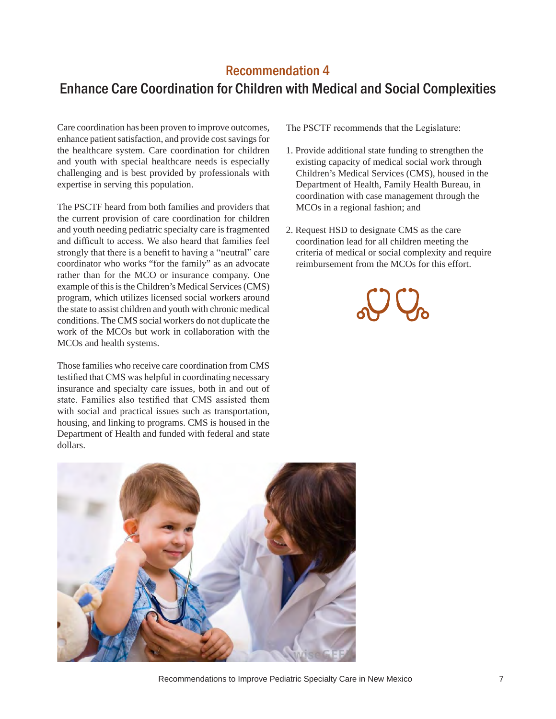#### Recommendation 4

# Enhance Care Coordination for Children with Medical and Social Complexities

Care coordination has been proven to improve outcomes, enhance patient satisfaction, and provide cost savings for the healthcare system. Care coordination for children and youth with special healthcare needs is especially challenging and is best provided by professionals with expertise in serving this population.

The PSCTF heard from both families and providers that the current provision of care coordination for children and youth needing pediatric specialty care is fragmented and difficult to access. We also heard that families feel strongly that there is a benefit to having a "neutral" care coordinator who works "for the family" as an advocate rather than for the MCO or insurance company. One example of this is the Children's Medical Services (CMS) program, which utilizes licensed social workers around the state to assist children and youth with chronic medical conditions. The CMS social workers do not duplicate the work of the MCOs but work in collaboration with the MCOs and health systems.

Those families who receive care coordination from CMS testified that CMS was helpful in coordinating necessary insurance and specialty care issues, both in and out of state. Families also testified that CMS assisted them with social and practical issues such as transportation, housing, and linking to programs. CMS is housed in the Department of Health and funded with federal and state dollars.

The PSCTF recommends that the Legislature:

- 1. Provide additional state funding to strengthen the existing capacity of medical social work through Children's Medical Services (CMS), housed in the Department of Health, Family Health Bureau, in coordination with case management through the MCOs in a regional fashion; and
- 2. Request HSD to designate CMS as the care coordination lead for all children meeting the criteria of medical or social complexity and require reimbursement from the MCOs for this effort.





Recommendations to Improve Pediatric Specialty Care in New Mexico 7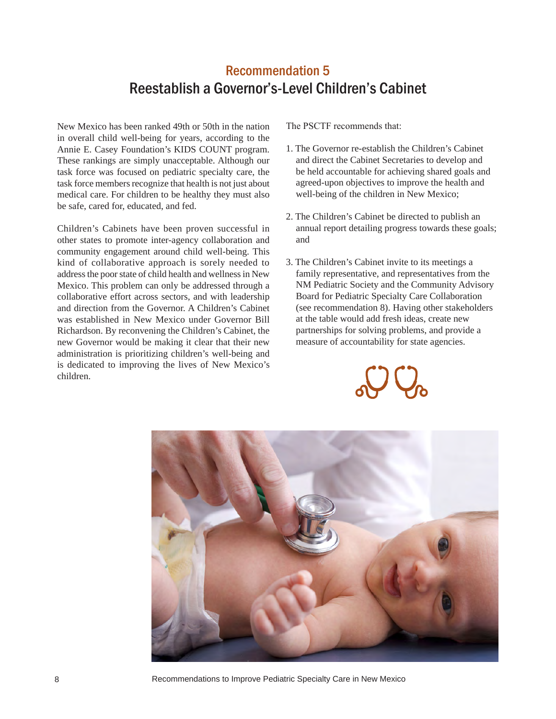#### Recommendation 5 Reestablish a Governor's-Level Children's Cabinet

New Mexico has been ranked 49th or 50th in the nation in overall child well-being for years, according to the Annie E. Casey Foundation's KIDS COUNT program. These rankings are simply unacceptable. Although our task force was focused on pediatric specialty care, the task force members recognize that health is not just about medical care. For children to be healthy they must also be safe, cared for, educated, and fed.

Children's Cabinets have been proven successful in other states to promote inter-agency collaboration and community engagement around child well-being. This kind of collaborative approach is sorely needed to address the poor state of child health and wellness in New Mexico. This problem can only be addressed through a collaborative effort across sectors, and with leadership and direction from the Governor. A Children's Cabinet was established in New Mexico under Governor Bill Richardson. By reconvening the Children's Cabinet, the new Governor would be making it clear that their new administration is prioritizing children's well-being and is dedicated to improving the lives of New Mexico's children.

- 1. The Governor re-establish the Children's Cabinet and direct the Cabinet Secretaries to develop and be held accountable for achieving shared goals and agreed-upon objectives to improve the health and well-being of the children in New Mexico;
- 2. The Children's Cabinet be directed to publish an annual report detailing progress towards these goals; and
- 3. The Children's Cabinet invite to its meetings a family representative, and representatives from the NM Pediatric Society and the Community Advisory Board for Pediatric Specialty Care Collaboration (see recommendation 8). Having other stakeholders at the table would add fresh ideas, create new partnerships for solving problems, and provide a measure of accountability for state agencies.





8 Recommendations to Improve Pediatric Specialty Care in New Mexico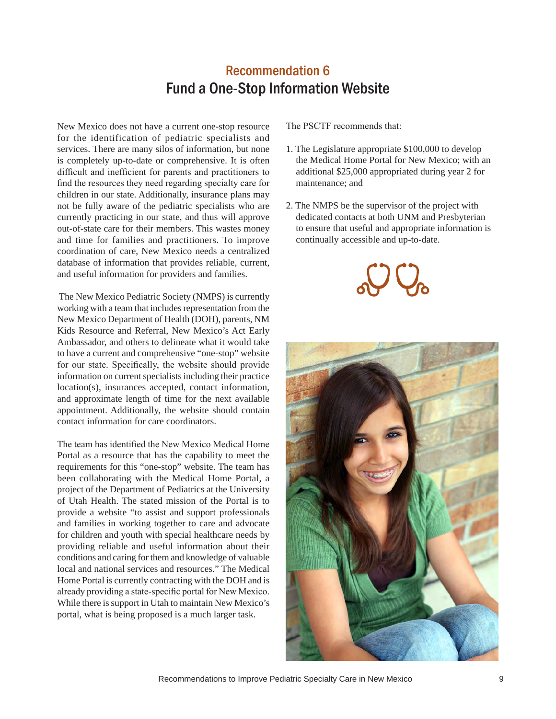## Recommendation 6 Fund a One-Stop Information Website

New Mexico does not have a current one-stop resource for the identification of pediatric specialists and services. There are many silos of information, but none is completely up-to-date or comprehensive. It is often difficult and inefficient for parents and practitioners to find the resources they need regarding specialty care for children in our state. Additionally, insurance plans may not be fully aware of the pediatric specialists who are currently practicing in our state, and thus will approve out-of-state care for their members. This wastes money and time for families and practitioners. To improve coordination of care, New Mexico needs a centralized database of information that provides reliable, current, and useful information for providers and families.

 The New Mexico Pediatric Society (NMPS) is currently working with a team that includes representation from the New Mexico Department of Health (DOH), parents, NM Kids Resource and Referral, New Mexico's Act Early Ambassador, and others to delineate what it would take to have a current and comprehensive "one-stop" website for our state. Specifically, the website should provide information on current specialists including their practice location(s), insurances accepted, contact information, and approximate length of time for the next available appointment. Additionally, the website should contain contact information for care coordinators.

The team has identified the New Mexico Medical Home Portal as a resource that has the capability to meet the requirements for this "one-stop" website. The team has been collaborating with the Medical Home Portal, a project of the Department of Pediatrics at the University of Utah Health. The stated mission of the Portal is to provide a website "to assist and support professionals and families in working together to care and advocate for children and youth with special healthcare needs by providing reliable and useful information about their conditions and caring for them and knowledge of valuable local and national services and resources." The Medical Home Portal is currently contracting with the DOH and is already providing a state-specific portal for New Mexico. While there is support in Utah to maintain New Mexico's portal, what is being proposed is a much larger task.

- 1. The Legislature appropriate \$100,000 to develop the Medical Home Portal for New Mexico; with an additional \$25,000 appropriated during year 2 for maintenance; and
- 2. The NMPS be the supervisor of the project with dedicated contacts at both UNM and Presbyterian to ensure that useful and appropriate information is continually accessible and up-to-date.





Recommendations to Improve Pediatric Specialty Care in New Mexico 9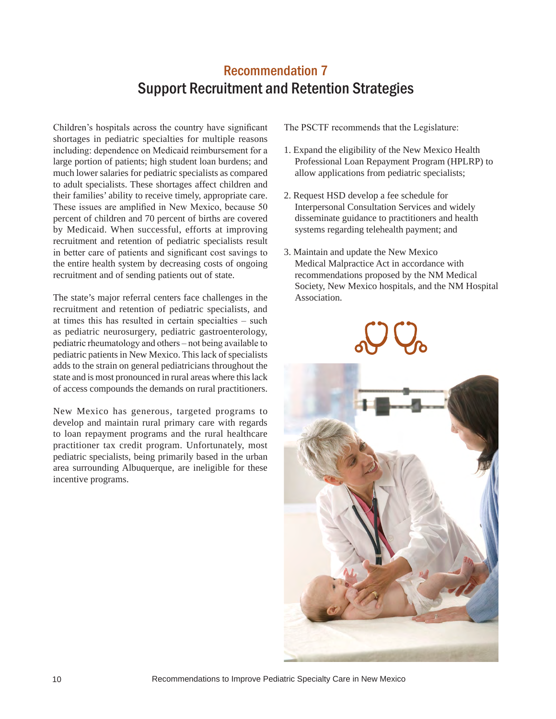# Recommendation 7 Support Recruitment and Retention Strategies

Children's hospitals across the country have significant shortages in pediatric specialties for multiple reasons including: dependence on Medicaid reimbursement for a large portion of patients; high student loan burdens; and much lower salaries for pediatric specialists as compared to adult specialists. These shortages affect children and their families' ability to receive timely, appropriate care. These issues are amplified in New Mexico, because 50 percent of children and 70 percent of births are covered by Medicaid. When successful, efforts at improving recruitment and retention of pediatric specialists result in better care of patients and significant cost savings to the entire health system by decreasing costs of ongoing recruitment and of sending patients out of state.

The state's major referral centers face challenges in the recruitment and retention of pediatric specialists, and at times this has resulted in certain specialties – such as pediatric neurosurgery, pediatric gastroenterology, pediatric rheumatology and others – not being available to pediatric patients in New Mexico. This lack of specialists adds to the strain on general pediatricians throughout the state and is most pronounced in rural areas where this lack of access compounds the demands on rural practitioners.

New Mexico has generous, targeted programs to develop and maintain rural primary care with regards to loan repayment programs and the rural healthcare practitioner tax credit program. Unfortunately, most pediatric specialists, being primarily based in the urban area surrounding Albuquerque, are ineligible for these incentive programs.

The PSCTF recommends that the Legislature:

- 1. Expand the eligibility of the New Mexico Health Professional Loan Repayment Program (HPLRP) to allow applications from pediatric specialists;
- 2. Request HSD develop a fee schedule for Interpersonal Consultation Services and widely disseminate guidance to practitioners and health systems regarding telehealth payment; and
- 3. Maintain and update the New Mexico Medical Malpractice Act in accordance with recommendations proposed by the NM Medical Society, New Mexico hospitals, and the NM Hospital Association.



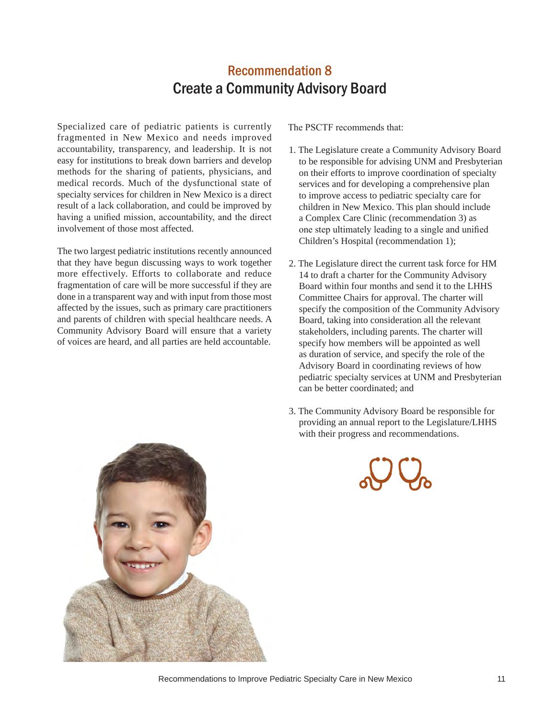# Recommendation 8 Create a Community Advisory Board

Specialized care of pediatric patients is currently fragmented in New Mexico and needs improved accountability, transparency, and leadership. It is not easy for institutions to break down barriers and develop methods for the sharing of patients, physicians, and medical records. Much of the dysfunctional state of specialty services for children in New Mexico is a direct result of a lack collaboration, and could be improved by having a unified mission, accountability, and the direct involvement of those most affected.

The two largest pediatric institutions recently announced that they have begun discussing ways to work together more effectively. Efforts to collaborate and reduce fragmentation of care will be more successful if they are done in a transparent way and with input from those most affected by the issues, such as primary care practitioners and parents of children with special healthcare needs. A Community Advisory Board will ensure that a variety of voices are heard, and all parties are held accountable.

- 1. The Legislature create a Community Advisory Board to be responsible for advising UNM and Presbyterian on their efforts to improve coordination of specialty services and for developing a comprehensive plan to improve access to pediatric specialty care for children in New Mexico. This plan should include a Complex Care Clinic (recommendation 3) as one step ultimately leading to a single and unified Children's Hospital (recommendation 1);
- 2. The Legislature direct the current task force for HM 14 to draft a charter for the Community Advisory Board within four months and send it to the LHHS Committee Chairs for approval. The charter will specify the composition of the Community Advisory Board, taking into consideration all the relevant stakeholders, including parents. The charter will specify how members will be appointed as well as duration of service, and specify the role of the Advisory Board in coordinating reviews of how pediatric specialty services at UNM and Presbyterian can be better coordinated; and
- 3. The Community Advisory Board be responsible for providing an annual report to the Legislature/LHHS with their progress and recommendations.





Recommendations to Improve Pediatric Specialty Care in New Mexico 11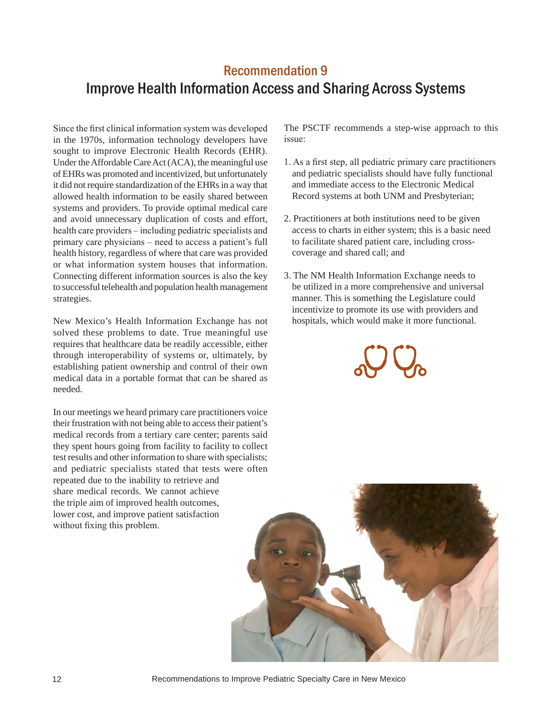# Recommendation 9 Improve Health Information Access and Sharing Across Systems

Since the first clinical information system was developed in the 1970s, information technology developers have sought to improve Electronic Health Records (EHR). Under the Affordable Care Act (ACA), the meaningful use of EHRs was promoted and incentivized, but unfortunately it did not require standardization of the EHRs in a way that allowed health information to be easily shared between systems and providers. To provide optimal medical care and avoid unnecessary duplication of costs and effort, health care providers – including pediatric specialists and primary care physicians – need to access a patient's full health history, regardless of where that care was provided or what information system houses that information. Connecting different information sources is also the key to successful telehealth and population health management strategies.

New Mexico's Health Information Exchange has not solved these problems to date. True meaningful use requires that healthcare data be readily accessible, either through interoperability of systems or, ultimately, by establishing patient ownership and control of their own medical data in a portable format that can be shared as needed.

In our meetings we heard primary care practitioners voice their frustration with not being able to access their patient's medical records from a tertiary care center; parents said they spent hours going from facility to facility to collect test results and other information to share with specialists; and pediatric specialists stated that tests were often repeated due to the inability to retrieve and share medical records. We cannot achieve the triple aim of improved health outcomes, lower cost, and improve patient satisfaction without fixing this problem.

The PSCTF recommends a step-wise approach to this issue:

- 1. As a first step, all pediatric primary care practitioners and pediatric specialists should have fully functional and immediate access to the Electronic Medical Record systems at both UNM and Presbyterian;
- 2. Practitioners at both institutions need to be given access to charts in either system; this is a basic need to facilitate shared patient care, including crosscoverage and shared call; and
- 3. The NM Health Information Exchange needs to be utilized in a more comprehensive and universal manner. This is something the Legislature could incentivize to promote its use with providers and hospitals, which would make it more functional.



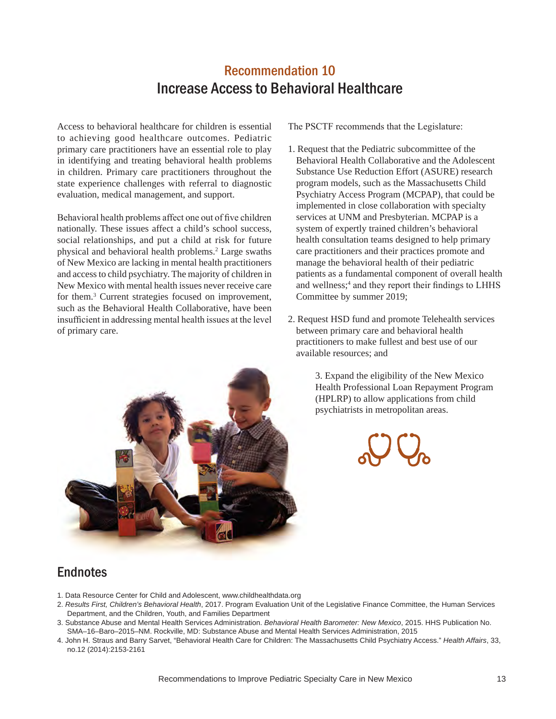# Recommendation 10 Increase Access to Behavioral Healthcare

Access to behavioral healthcare for children is essential to achieving good healthcare outcomes. Pediatric primary care practitioners have an essential role to play in identifying and treating behavioral health problems in children. Primary care practitioners throughout the state experience challenges with referral to diagnostic evaluation, medical management, and support.

Behavioral health problems affect one out of five children nationally. These issues affect a child's school success, social relationships, and put a child at risk for future physical and behavioral health problems.<sup>2</sup> Large swaths of New Mexico are lacking in mental health practitioners and access to child psychiatry. The majority of children in New Mexico with mental health issues never receive care for them.3 Current strategies focused on improvement, such as the Behavioral Health Collaborative, have been insufficient in addressing mental health issues at the level of primary care.

The PSCTF recommends that the Legislature:

- 1. Request that the Pediatric subcommittee of the Behavioral Health Collaborative and the Adolescent Substance Use Reduction Effort (ASURE) research program models, such as the Massachusetts Child Psychiatry Access Program (MCPAP), that could be implemented in close collaboration with specialty services at UNM and Presbyterian. MCPAP is a system of expertly trained children's behavioral health consultation teams designed to help primary care practitioners and their practices promote and manage the behavioral health of their pediatric patients as a fundamental component of overall health and wellness;<sup>4</sup> and they report their findings to LHHS Committee by summer 2019;
- 2. Request HSD fund and promote Telehealth services between primary care and behavioral health practitioners to make fullest and best use of our available resources; and

3. Expand the eligibility of the New Mexico Health Professional Loan Repayment Program (HPLRP) to allow applications from child psychiatrists in metropolitan areas.





#### **Endnotes**

- 1. Data Resource Center for Child and Adolescent, www.childhealthdata.org
- 2. *Results First, Children's Behavioral Health*, 2017. Program Evaluation Unit of the Legislative Finance Committee, the Human Services Department, and the Children, Youth, and Families Department
- 3. Substance Abuse and Mental Health Services Administration. *Behavioral Health Barometer: New Mexico*, 2015. HHS Publication No. SMA–16–Baro–2015–NM. Rockville, MD: Substance Abuse and Mental Health Services Administration, 2015
- 4. John H. Straus and Barry Sarvet, "Behavioral Health Care for Children: The Massachusetts Child Psychiatry Access." *Health Affairs*, 33, no.12 (2014):2153-2161